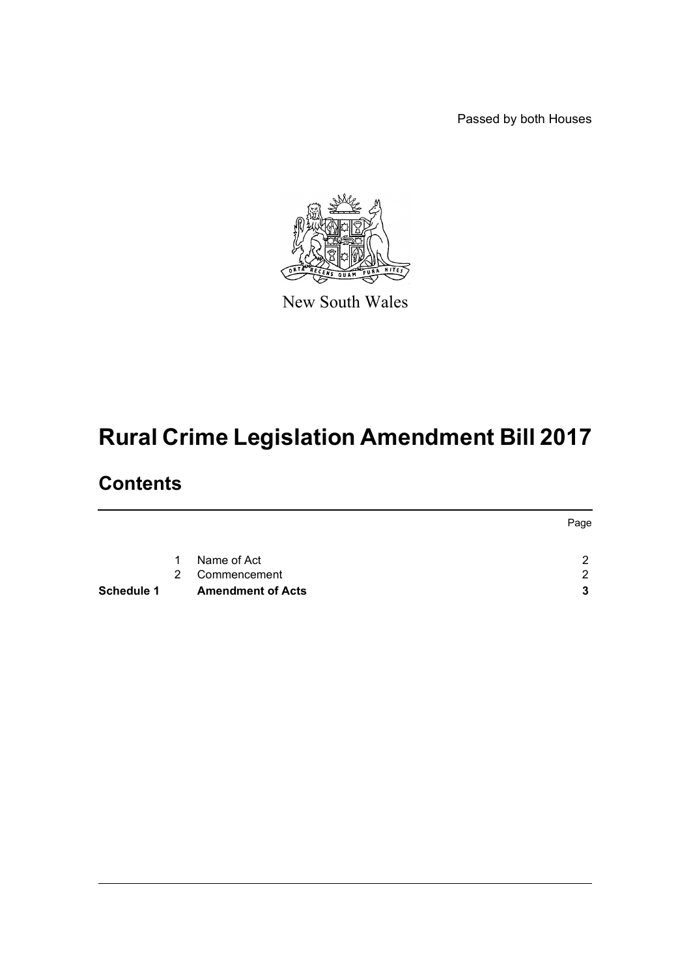Passed by both Houses



New South Wales

# **Rural Crime Legislation Amendment Bill 2017**

## **Contents**

|                   |             |                          | Page |
|-------------------|-------------|--------------------------|------|
|                   | $\mathbf 1$ | Name of Act              | റ    |
|                   | 2           | Commencement             | ◠    |
| <b>Schedule 1</b> |             | <b>Amendment of Acts</b> |      |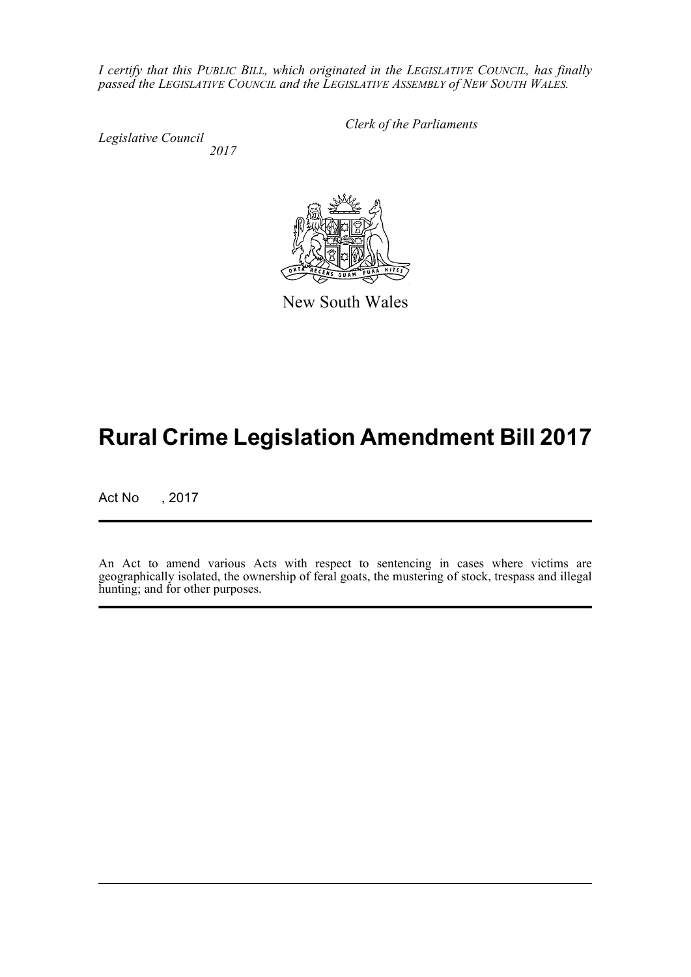*I certify that this PUBLIC BILL, which originated in the LEGISLATIVE COUNCIL, has finally passed the LEGISLATIVE COUNCIL and the LEGISLATIVE ASSEMBLY of NEW SOUTH WALES.*

*Legislative Council 2017* *Clerk of the Parliaments*



New South Wales

## **Rural Crime Legislation Amendment Bill 2017**

Act No , 2017

An Act to amend various Acts with respect to sentencing in cases where victims are geographically isolated, the ownership of feral goats, the mustering of stock, trespass and illegal hunting; and for other purposes.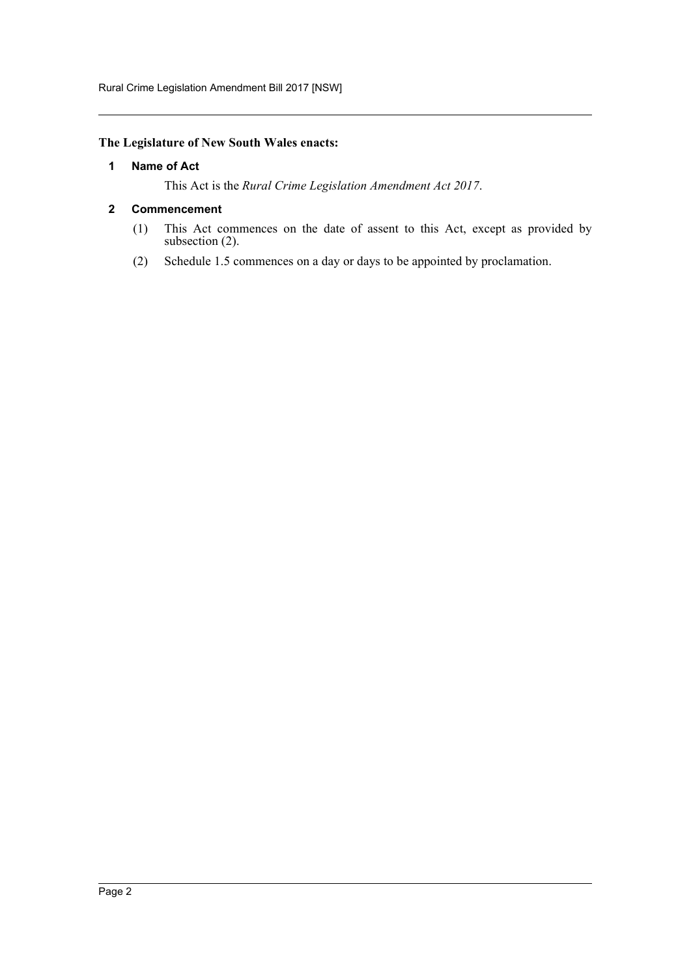#### <span id="page-2-0"></span>**The Legislature of New South Wales enacts:**

#### **1 Name of Act**

This Act is the *Rural Crime Legislation Amendment Act 2017*.

#### <span id="page-2-1"></span>**2 Commencement**

- (1) This Act commences on the date of assent to this Act, except as provided by subsection (2).
- (2) Schedule 1.5 commences on a day or days to be appointed by proclamation.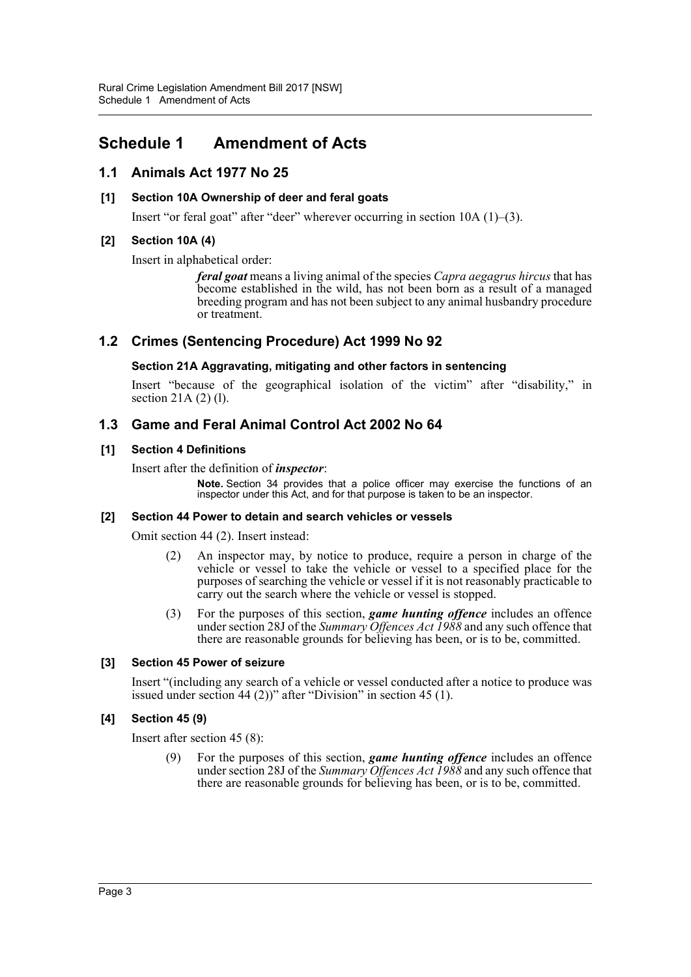## <span id="page-3-0"></span>**Schedule 1 Amendment of Acts**

## **1.1 Animals Act 1977 No 25**

#### **[1] Section 10A Ownership of deer and feral goats**

Insert "or feral goat" after "deer" wherever occurring in section 10A (1)–(3).

#### **[2] Section 10A (4)**

Insert in alphabetical order:

*feral goat* means a living animal of the species *Capra aegagrus hircus* that has become established in the wild, has not been born as a result of a managed breeding program and has not been subject to any animal husbandry procedure or treatment.

### **1.2 Crimes (Sentencing Procedure) Act 1999 No 92**

#### **Section 21A Aggravating, mitigating and other factors in sentencing**

Insert "because of the geographical isolation of the victim" after "disability," in section 21A (2) (l).

### **1.3 Game and Feral Animal Control Act 2002 No 64**

#### **[1] Section 4 Definitions**

Insert after the definition of *inspector*:

**Note.** Section 34 provides that a police officer may exercise the functions of an inspector under this Act, and for that purpose is taken to be an inspector.

#### **[2] Section 44 Power to detain and search vehicles or vessels**

Omit section 44 (2). Insert instead:

- (2) An inspector may, by notice to produce, require a person in charge of the vehicle or vessel to take the vehicle or vessel to a specified place for the purposes of searching the vehicle or vessel if it is not reasonably practicable to carry out the search where the vehicle or vessel is stopped.
- (3) For the purposes of this section, *game hunting offence* includes an offence under section 28J of the *Summary Offences Act 1988* and any such offence that there are reasonable grounds for believing has been, or is to be, committed.

#### **[3] Section 45 Power of seizure**

Insert "(including any search of a vehicle or vessel conducted after a notice to produce was issued under section 44 (2))" after "Division" in section 45 (1).

#### **[4] Section 45 (9)**

Insert after section 45 (8):

(9) For the purposes of this section, *game hunting offence* includes an offence under section 28J of the *Summary Offences Act 1988* and any such offence that there are reasonable grounds for believing has been, or is to be, committed.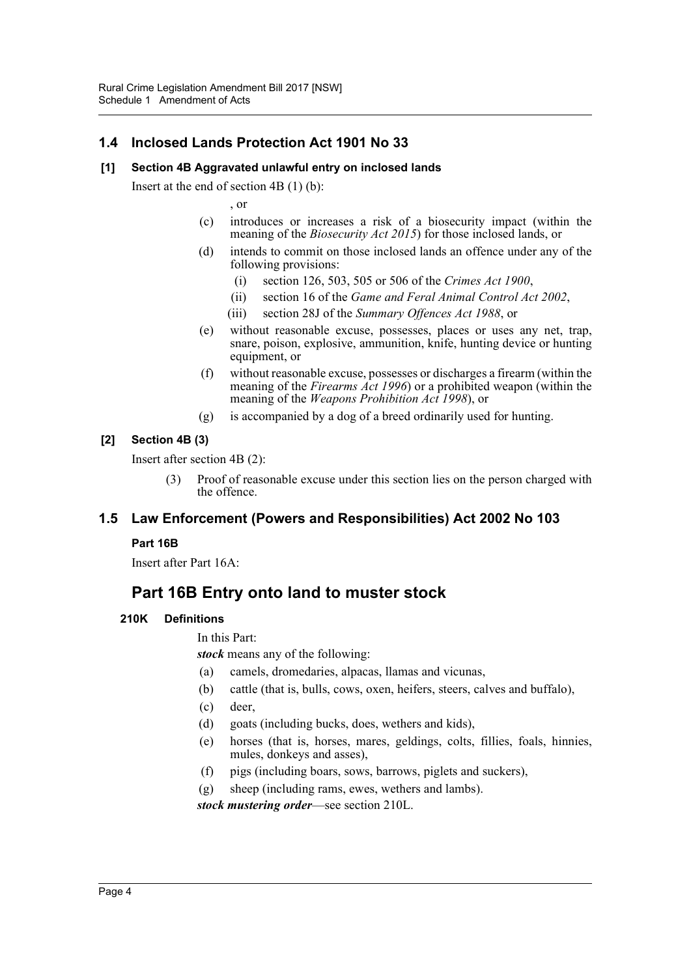## **1.4 Inclosed Lands Protection Act 1901 No 33**

#### **[1] Section 4B Aggravated unlawful entry on inclosed lands**

Insert at the end of section 4B (1) (b):

, or

- (c) introduces or increases a risk of a biosecurity impact (within the meaning of the *Biosecurity Act 2015*) for those inclosed lands, or
- (d) intends to commit on those inclosed lands an offence under any of the following provisions:
	- (i) section 126, 503, 505 or 506 of the *Crimes Act 1900*,
	- (ii) section 16 of the *Game and Feral Animal Control Act 2002*,
	- (iii) section 28J of the *Summary Offences Act 1988*, or
- (e) without reasonable excuse, possesses, places or uses any net, trap, snare, poison, explosive, ammunition, knife, hunting device or hunting equipment, or
- (f) without reasonable excuse, possesses or discharges a firearm (within the meaning of the *Firearms Act 1996*) or a prohibited weapon (within the meaning of the *Weapons Prohibition Act 1998*), or
- (g) is accompanied by a dog of a breed ordinarily used for hunting.

#### **[2] Section 4B (3)**

Insert after section 4B (2):

(3) Proof of reasonable excuse under this section lies on the person charged with the offence.

## **1.5 Law Enforcement (Powers and Responsibilities) Act 2002 No 103**

#### **Part 16B**

Insert after Part 16A:

## **Part 16B Entry onto land to muster stock**

#### **210K Definitions**

In this Part:

*stock* means any of the following:

- (a) camels, dromedaries, alpacas, llamas and vicunas,
- (b) cattle (that is, bulls, cows, oxen, heifers, steers, calves and buffalo),
- (c) deer,
- (d) goats (including bucks, does, wethers and kids),
- (e) horses (that is, horses, mares, geldings, colts, fillies, foals, hinnies, mules, donkeys and asses),
- (f) pigs (including boars, sows, barrows, piglets and suckers),

(g) sheep (including rams, ewes, wethers and lambs).

*stock mustering order*—see section 210L.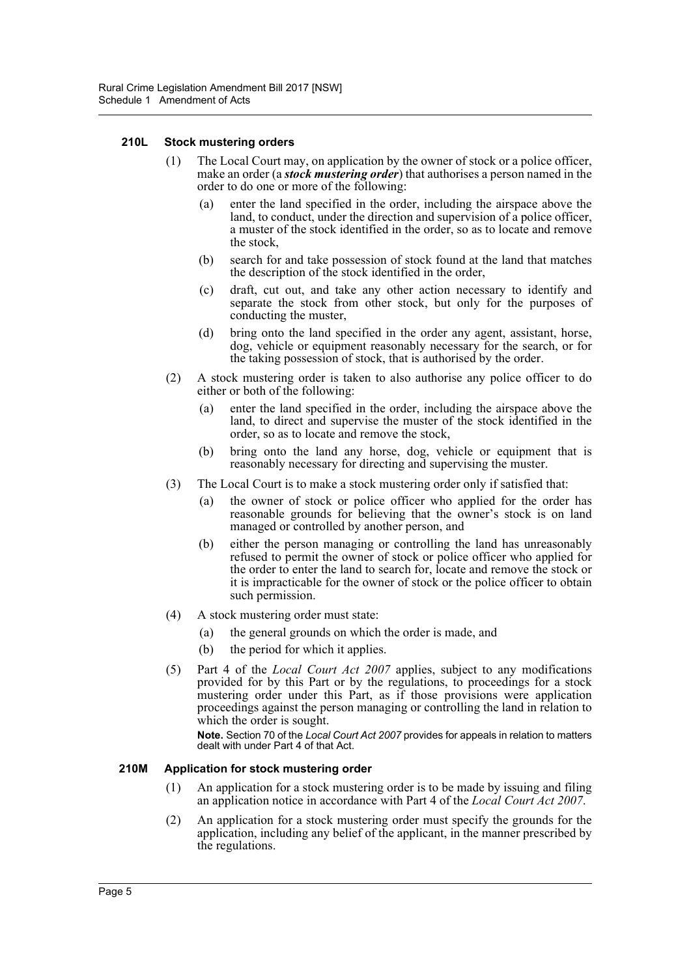#### **210L Stock mustering orders**

- (1) The Local Court may, on application by the owner of stock or a police officer, make an order (a *stock mustering order*) that authorises a person named in the order to do one or more of the following:
	- (a) enter the land specified in the order, including the airspace above the land, to conduct, under the direction and supervision of a police officer, a muster of the stock identified in the order, so as to locate and remove the stock,
	- (b) search for and take possession of stock found at the land that matches the description of the stock identified in the order,
	- (c) draft, cut out, and take any other action necessary to identify and separate the stock from other stock, but only for the purposes of conducting the muster,
	- (d) bring onto the land specified in the order any agent, assistant, horse, dog, vehicle or equipment reasonably necessary for the search, or for the taking possession of stock, that is authorised by the order.
- (2) A stock mustering order is taken to also authorise any police officer to do either or both of the following:
	- (a) enter the land specified in the order, including the airspace above the land, to direct and supervise the muster of the stock identified in the order, so as to locate and remove the stock,
	- (b) bring onto the land any horse, dog, vehicle or equipment that is reasonably necessary for directing and supervising the muster.
- (3) The Local Court is to make a stock mustering order only if satisfied that:
	- (a) the owner of stock or police officer who applied for the order has reasonable grounds for believing that the owner's stock is on land managed or controlled by another person, and
	- (b) either the person managing or controlling the land has unreasonably refused to permit the owner of stock or police officer who applied for the order to enter the land to search for, locate and remove the stock or it is impracticable for the owner of stock or the police officer to obtain such permission.
- (4) A stock mustering order must state:
	- (a) the general grounds on which the order is made, and
	- (b) the period for which it applies.
- (5) Part 4 of the *Local Court Act 2007* applies, subject to any modifications provided for by this Part or by the regulations, to proceedings for a stock mustering order under this Part, as if those provisions were application proceedings against the person managing or controlling the land in relation to which the order is sought.

**Note.** Section 70 of the *Local Court Act 2007* provides for appeals in relation to matters dealt with under Part 4 of that Act.

#### **210M Application for stock mustering order**

- (1) An application for a stock mustering order is to be made by issuing and filing an application notice in accordance with Part 4 of the *Local Court Act 2007*.
- (2) An application for a stock mustering order must specify the grounds for the application, including any belief of the applicant, in the manner prescribed by the regulations.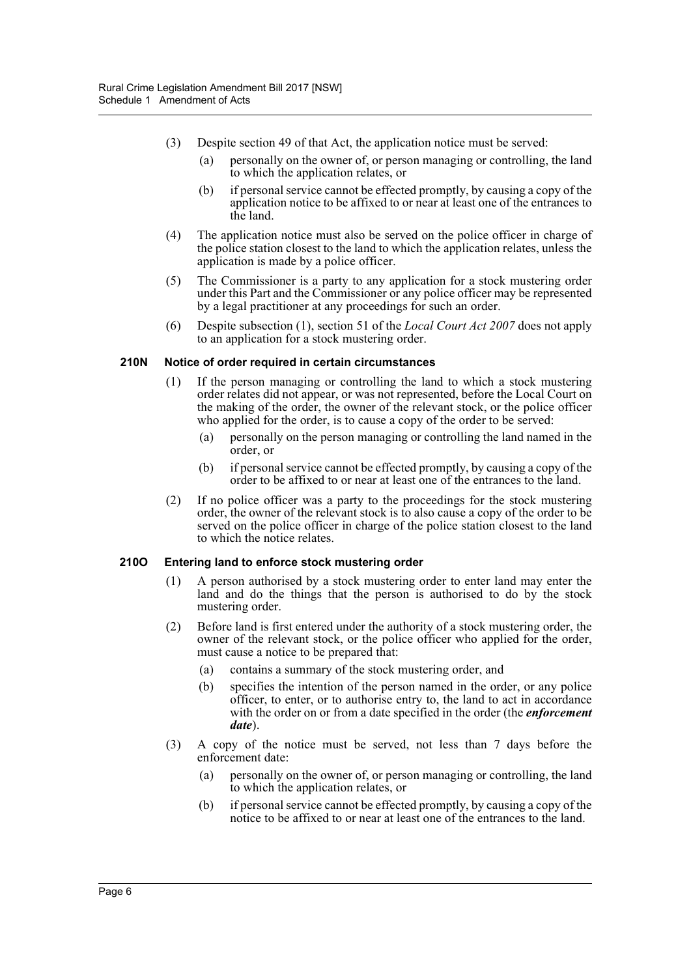- (3) Despite section 49 of that Act, the application notice must be served:
	- (a) personally on the owner of, or person managing or controlling, the land to which the application relates, or
	- (b) if personal service cannot be effected promptly, by causing a copy of the application notice to be affixed to or near at least one of the entrances to the land.
- (4) The application notice must also be served on the police officer in charge of the police station closest to the land to which the application relates, unless the application is made by a police officer.
- (5) The Commissioner is a party to any application for a stock mustering order under this Part and the Commissioner or any police officer may be represented by a legal practitioner at any proceedings for such an order.
- (6) Despite subsection (1), section 51 of the *Local Court Act 2007* does not apply to an application for a stock mustering order.

#### **210N Notice of order required in certain circumstances**

- (1) If the person managing or controlling the land to which a stock mustering order relates did not appear, or was not represented, before the Local Court on the making of the order, the owner of the relevant stock, or the police officer who applied for the order, is to cause a copy of the order to be served:
	- (a) personally on the person managing or controlling the land named in the order, or
	- (b) if personal service cannot be effected promptly, by causing a copy of the order to be affixed to or near at least one of the entrances to the land.
- (2) If no police officer was a party to the proceedings for the stock mustering order, the owner of the relevant stock is to also cause a copy of the order to be served on the police officer in charge of the police station closest to the land to which the notice relates.

#### **210O Entering land to enforce stock mustering order**

- (1) A person authorised by a stock mustering order to enter land may enter the land and do the things that the person is authorised to do by the stock mustering order.
- (2) Before land is first entered under the authority of a stock mustering order, the owner of the relevant stock, or the police officer who applied for the order, must cause a notice to be prepared that:
	- (a) contains a summary of the stock mustering order, and
	- (b) specifies the intention of the person named in the order, or any police officer, to enter, or to authorise entry to, the land to act in accordance with the order on or from a date specified in the order (the *enforcement date*).
- (3) A copy of the notice must be served, not less than 7 days before the enforcement date:
	- (a) personally on the owner of, or person managing or controlling, the land to which the application relates, or
	- (b) if personal service cannot be effected promptly, by causing a copy of the notice to be affixed to or near at least one of the entrances to the land.